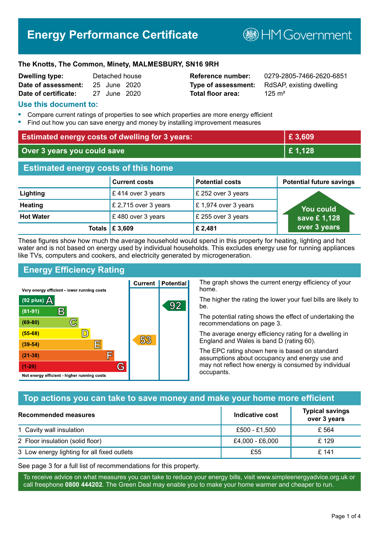# **Energy Performance Certificate**

**B**HM Government

#### **The Knotts, The Common, Minety, MALMESBURY, SN16 9RH**

| Dwelling type:       | Detached house |  |
|----------------------|----------------|--|
| Date of assessment:  | 25 June 2020   |  |
| Date of certificate: | 27 June 2020   |  |

# **Total floor area:** 25 m<sup>2</sup>

**Reference number:** 0279-2805-7466-2620-6851 **Type of assessment:** RdSAP, existing dwelling

#### **Use this document to:**

- **•** Compare current ratings of properties to see which properties are more energy efficient
- **•** Find out how you can save energy and money by installing improvement measures

| <b>Estimated energy costs of dwelling for 3 years:</b> |                           | £3,609                 |                                 |
|--------------------------------------------------------|---------------------------|------------------------|---------------------------------|
| Over 3 years you could save                            |                           | £1,128                 |                                 |
| <b>Estimated energy costs of this home</b>             |                           |                        |                                 |
|                                                        | <b>Current costs</b>      | <b>Potential costs</b> | <b>Potential future savings</b> |
| Lighting                                               | £414 over 3 years         | £ 252 over 3 years     |                                 |
| <b>Heating</b>                                         | £ 2,715 over 3 years      | £1,974 over 3 years    | You could                       |
| <b>Hot Water</b>                                       | £480 over 3 years         | £ 255 over 3 years     | save £1,128                     |
|                                                        | Totals $\mathsf{E}$ 3,609 | £ 2,481                | over 3 years                    |

These figures show how much the average household would spend in this property for heating, lighting and hot water and is not based on energy used by individual households. This excludes energy use for running appliances like TVs, computers and cookers, and electricity generated by microgeneration.

**Current | Potential** 

53

92

# **Energy Efficiency Rating**

 $\mathbb{C}$ 

 $\mathbb{D}$ 

E

庐

G

Very energy efficient - lower running costs

 $\mathsf{R}% _{T}$ 

Not energy efficient - higher running costs

 $(92$  plus)

 $(81 - 91)$  $(69 - 80)$ 

 $(55-68)$ 

 $(39 - 54)$ 

 $(21-38)$ 

 $(1-20)$ 

- 78

The graph shows the current energy efficiency of your home.

The higher the rating the lower your fuel bills are likely to be.

The potential rating shows the effect of undertaking the recommendations on page 3.

The average energy efficiency rating for a dwelling in England and Wales is band D (rating 60).

The EPC rating shown here is based on standard assumptions about occupancy and energy use and may not reflect how energy is consumed by individual occupants.

# **Top actions you can take to save money and make your home more efficient**

| Recommended measures                        | Indicative cost | <b>Typical savings</b><br>over 3 years |
|---------------------------------------------|-----------------|----------------------------------------|
| 1 Cavity wall insulation                    | £500 - £1,500   | £ 564                                  |
| 2 Floor insulation (solid floor)            | £4,000 - £6,000 | £129                                   |
| 3 Low energy lighting for all fixed outlets | £55             | £ 141                                  |

See page 3 for a full list of recommendations for this property.

To receive advice on what measures you can take to reduce your energy bills, visit www.simpleenergyadvice.org.uk or call freephone **0800 444202**. The Green Deal may enable you to make your home warmer and cheaper to run.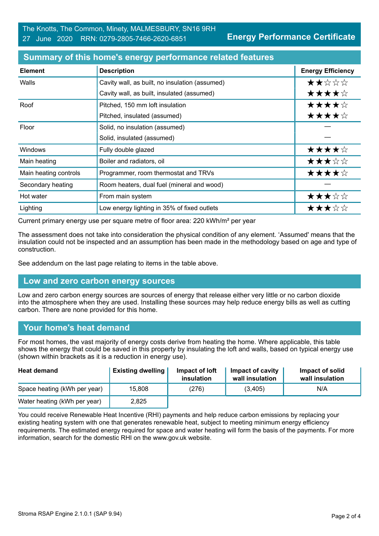**Energy Performance Certificate**

| <b>Element</b>        | <b>Description</b>                             | <b>Energy Efficiency</b> |
|-----------------------|------------------------------------------------|--------------------------|
| Walls                 | Cavity wall, as built, no insulation (assumed) | ★★☆☆☆                    |
|                       | Cavity wall, as built, insulated (assumed)     | ★★★★☆                    |
| Roof                  | Pitched, 150 mm loft insulation                | ★★★★☆                    |
|                       | Pitched, insulated (assumed)                   | ★★★★☆                    |
| Floor                 | Solid, no insulation (assumed)                 |                          |
|                       | Solid, insulated (assumed)                     |                          |
| Windows               | Fully double glazed                            | ★★★★☆                    |
| Main heating          | Boiler and radiators, oil                      | ★★★☆☆                    |
| Main heating controls | Programmer, room thermostat and TRVs           | ★★★★☆                    |
| Secondary heating     | Room heaters, dual fuel (mineral and wood)     |                          |
| Hot water             | From main system                               | ★★★☆☆                    |
| Lighting              | Low energy lighting in 35% of fixed outlets    | ★★★☆☆                    |

#### **Summary of this home's energy performance related features**

Current primary energy use per square metre of floor area: 220 kWh/m² per year

The assessment does not take into consideration the physical condition of any element. 'Assumed' means that the insulation could not be inspected and an assumption has been made in the methodology based on age and type of construction.

See addendum on the last page relating to items in the table above.

#### **Low and zero carbon energy sources**

Low and zero carbon energy sources are sources of energy that release either very little or no carbon dioxide into the atmosphere when they are used. Installing these sources may help reduce energy bills as well as cutting carbon. There are none provided for this home.

#### **Your home's heat demand**

For most homes, the vast majority of energy costs derive from heating the home. Where applicable, this table shows the energy that could be saved in this property by insulating the loft and walls, based on typical energy use (shown within brackets as it is a reduction in energy use).

| <b>Heat demand</b>           | <b>Existing dwelling</b> | Impact of loft<br>insulation | Impact of cavity<br>wall insulation | Impact of solid<br>wall insulation |
|------------------------------|--------------------------|------------------------------|-------------------------------------|------------------------------------|
| Space heating (kWh per year) | 15,808                   | (276)                        | (3,405)                             | N/A                                |
| Water heating (kWh per year) | 2,825                    |                              |                                     |                                    |

You could receive Renewable Heat Incentive (RHI) payments and help reduce carbon emissions by replacing your existing heating system with one that generates renewable heat, subject to meeting minimum energy efficiency requirements. The estimated energy required for space and water heating will form the basis of the payments. For more information, search for the domestic RHI on the www.gov.uk website.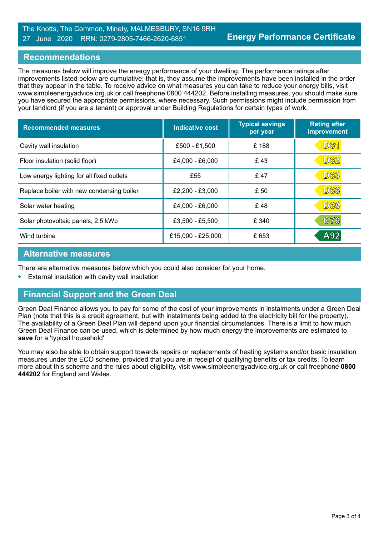#### The Knotts, The Common, Minety, MALMESBURY, SN16 9RH 27 June 2020 RRN: 0279-2805-7466-2620-6851

#### **Recommendations**

The measures below will improve the energy performance of your dwelling. The performance ratings after improvements listed below are cumulative; that is, they assume the improvements have been installed in the order that they appear in the table. To receive advice on what measures you can take to reduce your energy bills, visit www.simpleenergyadvice.org.uk or call freephone 0800 444202. Before installing measures, you should make sure you have secured the appropriate permissions, where necessary. Such permissions might include permission from your landlord (if you are a tenant) or approval under Building Regulations for certain types of work.

| <b>Recommended measures</b>               | <b>Indicative cost</b> | <b>Typical savings</b><br>per year | <b>Rating after</b><br>improvement |
|-------------------------------------------|------------------------|------------------------------------|------------------------------------|
| Cavity wall insulation                    | £500 - £1,500          | £188                               | <b>D61</b>                         |
| Floor insulation (solid floor)            | £4,000 - £6,000        | £43                                | D62                                |
| Low energy lighting for all fixed outlets | £55                    | £47                                | <b>D63</b>                         |
| Replace boiler with new condensing boiler | £2,200 - £3,000        | £ 50                               | <b>D66</b>                         |
| Solar water heating                       | £4,000 - £6,000        | £48                                | <b>D68</b>                         |
| Solar photovoltaic panels, 2.5 kWp        | £3,500 - £5,500        | £ 340                              | C76                                |
| Wind turbine                              | £15,000 - £25,000      | £653                               | A92                                |

#### **Alternative measures**

There are alternative measures below which you could also consider for your home.

**•** External insulation with cavity wall insulation

# **Financial Support and the Green Deal**

Green Deal Finance allows you to pay for some of the cost of your improvements in instalments under a Green Deal Plan (note that this is a credit agreement, but with instalments being added to the electricity bill for the property). The availability of a Green Deal Plan will depend upon your financial circumstances. There is a limit to how much Green Deal Finance can be used, which is determined by how much energy the improvements are estimated to **save** for a 'typical household'.

You may also be able to obtain support towards repairs or replacements of heating systems and/or basic insulation measures under the ECO scheme, provided that you are in receipt of qualifying benefits or tax credits. To learn more about this scheme and the rules about eligibility, visit www.simpleenergyadvice.org.uk or call freephone **0800 444202** for England and Wales.